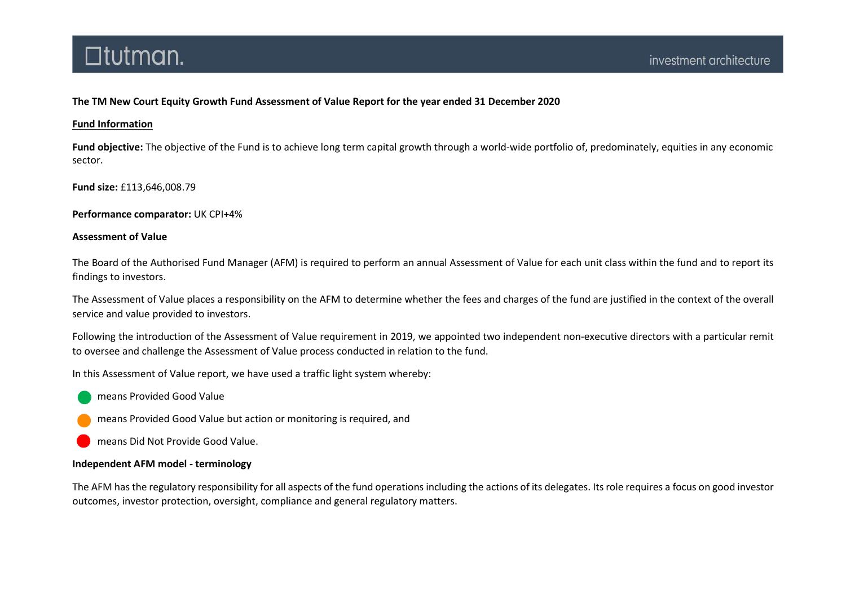### The TM New Court Equity Growth Fund Assessment of Value Report for the year ended 31 December 2020

### Fund Information

Fund objective: The objective of the Fund is to achieve long term capital growth through a world-wide portfolio of, predominately, equities in any economic sector.

Fund size: £113,646,008.79

Performance comparator: UK CPI+4%

### Assessment of Value

The Board of the Authorised Fund Manager (AFM) is required to perform an annual Assessment of Value for each unit class within the fund and to report its findings to investors.

The Assessment of Value places a responsibility on the AFM to determine whether the fees and charges of the fund are justified in the context of the overall service and value provided to investors.

Following the introduction of the Assessment of Value requirement in 2019, we appointed two independent non-executive directors with a particular remit to oversee and challenge the Assessment of Value process conducted in relation to the fund.

In this Assessment of Value report, we have used a traffic light system whereby:

means Provided Good Value

means Provided Good Value but action or monitoring is required, and

means Did Not Provide Good Value.

### Independent AFM model - terminology

The AFM has the regulatory responsibility for all aspects of the fund operations including the actions of its delegates. Its role requires a focus on good investor outcomes, investor protection, oversight, compliance and general regulatory matters.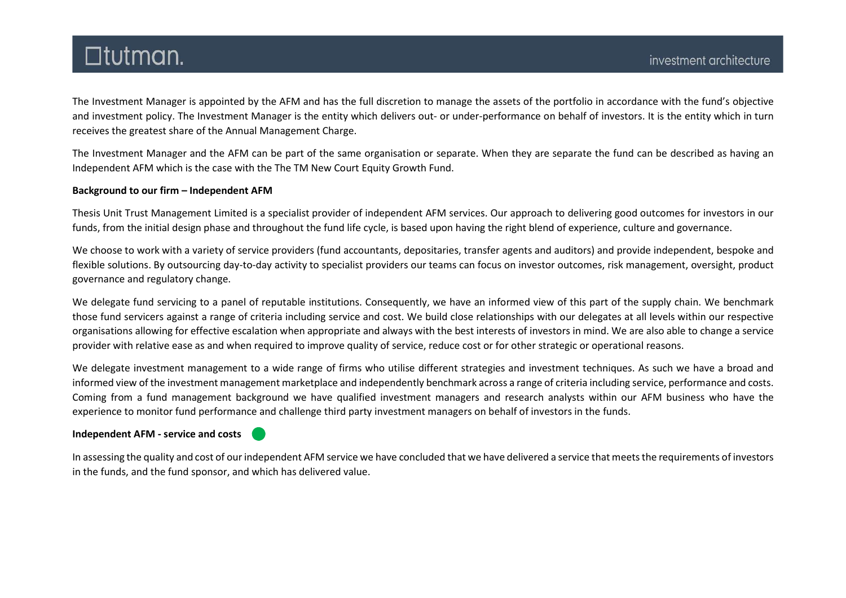The Investment Manager is appointed by the AFM and has the full discretion to manage the assets of the portfolio in accordance with the fund's objective and investment policy. The Investment Manager is the entity which delivers out- or under-performance on behalf of investors. It is the entity which in turn receives the greatest share of the Annual Management Charge.

The Investment Manager and the AFM can be part of the same organisation or separate. When they are separate the fund can be described as having an Independent AFM which is the case with the The TM New Court Equity Growth Fund.

### Background to our firm – Independent AFM

Thesis Unit Trust Management Limited is a specialist provider of independent AFM services. Our approach to delivering good outcomes for investors in our funds, from the initial design phase and throughout the fund life cycle, is based upon having the right blend of experience, culture and governance.

We choose to work with a variety of service providers (fund accountants, depositaries, transfer agents and auditors) and provide independent, bespoke and flexible solutions. By outsourcing day-to-day activity to specialist providers our teams can focus on investor outcomes, risk management, oversight, product governance and regulatory change.

We delegate fund servicing to a panel of reputable institutions. Consequently, we have an informed view of this part of the supply chain. We benchmark those fund servicers against a range of criteria including service and cost. We build close relationships with our delegates at all levels within our respective organisations allowing for effective escalation when appropriate and always with the best interests of investors in mind. We are also able to change a service provider with relative ease as and when required to improve quality of service, reduce cost or for other strategic or operational reasons.

We delegate investment management to a wide range of firms who utilise different strategies and investment techniques. As such we have a broad and informed view of the investment management marketplace and independently benchmark across a range of criteria including service, performance and costs. Coming from a fund management background we have qualified investment managers and research analysts within our AFM business who have the experience to monitor fund performance and challenge third party investment managers on behalf of investors in the funds.

### Independent AFM - service and costs

In assessing the quality and cost of our independent AFM service we have concluded that we have delivered a service that meets the requirements of investors in the funds, and the fund sponsor, and which has delivered value.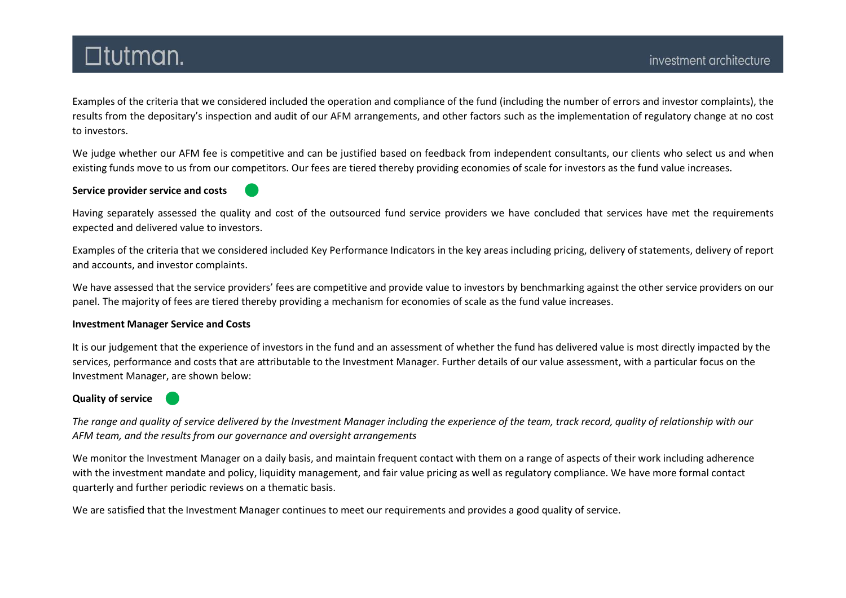Examples of the criteria that we considered included the operation and compliance of the fund (including the number of errors and investor complaints), the results from the depositary's inspection and audit of our AFM arrangements, and other factors such as the implementation of regulatory change at no cost to investors.

We judge whether our AFM fee is competitive and can be justified based on feedback from independent consultants, our clients who select us and when existing funds move to us from our competitors. Our fees are tiered thereby providing economies of scale for investors as the fund value increases.

#### Service provider service and costs

Having separately assessed the quality and cost of the outsourced fund service providers we have concluded that services have met the requirements expected and delivered value to investors.

Examples of the criteria that we considered included Key Performance Indicators in the key areas including pricing, delivery of statements, delivery of report and accounts, and investor complaints.

We have assessed that the service providers' fees are competitive and provide value to investors by benchmarking against the other service providers on our panel. The majority of fees are tiered thereby providing a mechanism for economies of scale as the fund value increases.

#### Investment Manager Service and Costs

It is our judgement that the experience of investors in the fund and an assessment of whether the fund has delivered value is most directly impacted by the services, performance and costs that are attributable to the Investment Manager. Further details of our value assessment, with a particular focus on the Investment Manager, are shown below:

### Quality of service

The range and quality of service delivered by the Investment Manager including the experience of the team, track record, quality of relationship with our AFM team, and the results from our governance and oversight arrangements

We monitor the Investment Manager on a daily basis, and maintain frequent contact with them on a range of aspects of their work including adherence with the investment mandate and policy, liquidity management, and fair value pricing as well as regulatory compliance. We have more formal contact quarterly and further periodic reviews on a thematic basis.

We are satisfied that the Investment Manager continues to meet our requirements and provides a good quality of service.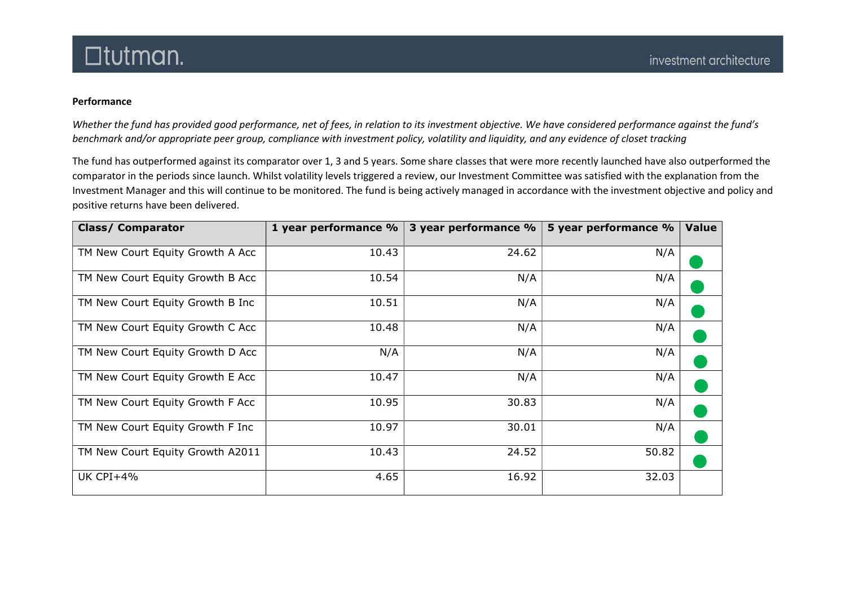### Performance

Whether the fund has provided good performance, net of fees, in relation to its investment objective. We have considered performance against the fund's benchmark and/or appropriate peer group, compliance with investment policy, volatility and liquidity, and any evidence of closet tracking

The fund has outperformed against its comparator over 1, 3 and 5 years. Some share classes that were more recently launched have also outperformed the comparator in the periods since launch. Whilst volatility levels triggered a review, our Investment Committee was satisfied with the explanation from the Investment Manager and this will continue to be monitored. The fund is being actively managed in accordance with the investment objective and policy and positive returns have been delivered.

| <b>Class/ Comparator</b>         | 1 year performance % | 3 year performance % | 5 year performance % | <b>Value</b> |
|----------------------------------|----------------------|----------------------|----------------------|--------------|
| TM New Court Equity Growth A Acc | 10.43                | 24.62                | N/A                  |              |
| TM New Court Equity Growth B Acc | 10.54                | N/A                  | N/A                  |              |
| TM New Court Equity Growth B Inc | 10.51                | N/A                  | N/A                  |              |
| TM New Court Equity Growth C Acc | 10.48                | N/A                  | N/A                  |              |
| TM New Court Equity Growth D Acc | N/A                  | N/A                  | N/A                  |              |
| TM New Court Equity Growth E Acc | 10.47                | N/A                  | N/A                  |              |
| TM New Court Equity Growth F Acc | 10.95                | 30.83                | N/A                  |              |
| TM New Court Equity Growth F Inc | 10.97                | 30.01                | N/A                  |              |
| TM New Court Equity Growth A2011 | 10.43                | 24.52                | 50.82                |              |
| <b>UK CPI+4%</b>                 | 4.65                 | 16.92                | 32.03                |              |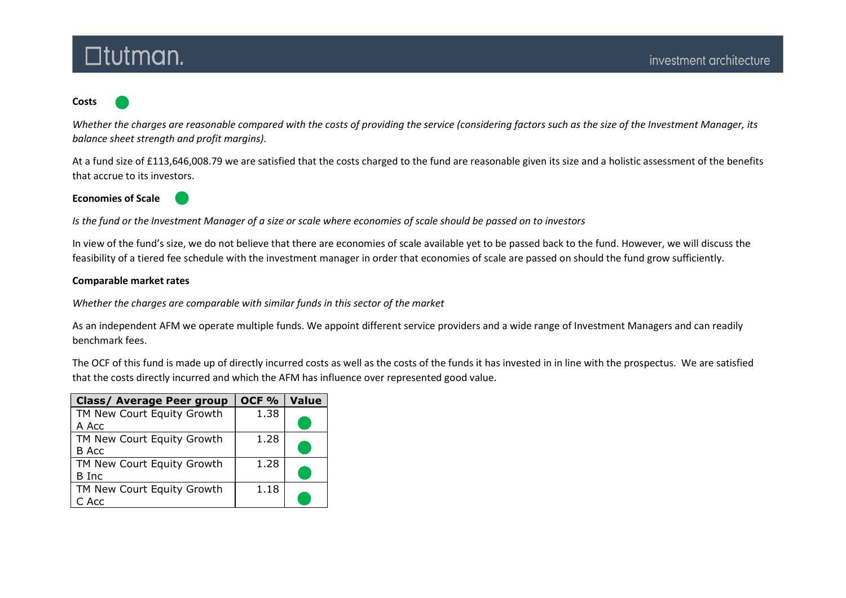#### Costs

Whether the charges are reasonable compared with the costs of providing the service (considering factors such as the size of the Investment Manager, its balance sheet strength and profit margins).

At a fund size of £113,646,008.79 we are satisfied that the costs charged to the fund are reasonable given its size and a holistic assessment of the benefits that accrue to its investors.

Economies of Scale



Is the fund or the Investment Manager of a size or scale where economies of scale should be passed on to investors

In view of the fund's size, we do not believe that there are economies of scale available yet to be passed back to the fund. However, we will discuss the feasibility of a tiered fee schedule with the investment manager in order that economies of scale are passed on should the fund grow sufficiently.

#### Comparable market rates

Whether the charges are comparable with similar funds in this sector of the market

As an independent AFM we operate multiple funds. We appoint different service providers and a wide range of Investment Managers and can readily benchmark fees.

The OCF of this fund is made up of directly incurred costs as well as the costs of the funds it has invested in in line with the prospectus. We are satisfied that the costs directly incurred and which the AFM has influence over represented good value.

| <b>Class/ Average Peer group</b> | OCF <sub>%</sub> | <b>Value</b> |
|----------------------------------|------------------|--------------|
| TM New Court Equity Growth       | 1.38             |              |
| A Acc                            |                  |              |
| TM New Court Equity Growth       | 1.28             |              |
| B Acc                            |                  |              |
| TM New Court Equity Growth       | 1.28             |              |
| B Inc                            |                  |              |
| TM New Court Equity Growth       | 1.18             |              |
| C Acc                            |                  |              |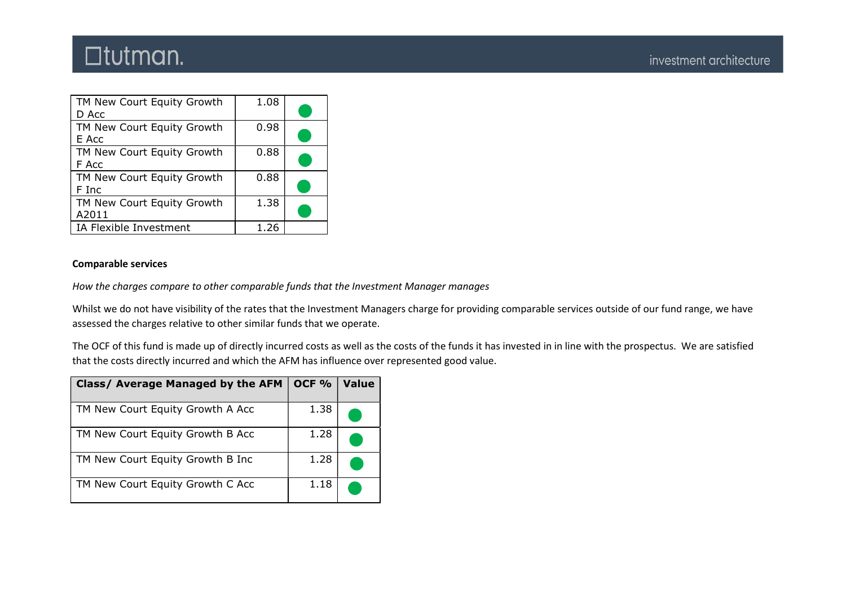| TM New Court Equity Growth<br>D Acc | 1.08 |  |
|-------------------------------------|------|--|
| TM New Court Equity Growth<br>E Acc | 0.98 |  |
| TM New Court Equity Growth<br>F Acc | 0.88 |  |
| TM New Court Equity Growth<br>F Inc | 0.88 |  |
| TM New Court Equity Growth<br>A2011 | 1.38 |  |
| IA Flexible Investment              | 1.26 |  |

### Comparable services

How the charges compare to other comparable funds that the Investment Manager manages

Whilst we do not have visibility of the rates that the Investment Managers charge for providing comparable services outside of our fund range, we have assessed the charges relative to other similar funds that we operate.

The OCF of this fund is made up of directly incurred costs as well as the costs of the funds it has invested in in line with the prospectus. We are satisfied that the costs directly incurred and which the AFM has influence over represented good value.

| Class/ Average Managed by the AFM | OCF <sub>%</sub> | <b>Value</b> |
|-----------------------------------|------------------|--------------|
| TM New Court Equity Growth A Acc  | 1.38             |              |
| TM New Court Equity Growth B Acc  | 1.28             |              |
| TM New Court Equity Growth B Inc  | 1.28             |              |
| TM New Court Equity Growth C Acc  | 1.18             |              |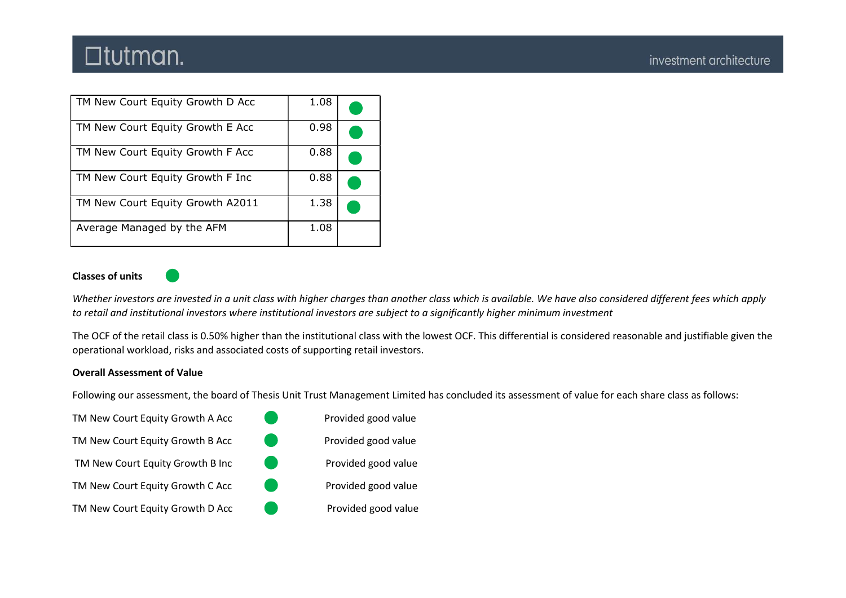| TM New Court Equity Growth D Acc | 1.08 |  |
|----------------------------------|------|--|
| TM New Court Equity Growth E Acc | 0.98 |  |
| TM New Court Equity Growth F Acc | 0.88 |  |
| TM New Court Equity Growth F Inc | 0.88 |  |
| TM New Court Equity Growth A2011 | 1.38 |  |
| Average Managed by the AFM       | 1.08 |  |

### Classes of units



Whether investors are invested in a unit class with higher charges than another class which is available. We have also considered different fees which apply to retail and institutional investors where institutional investors are subject to a significantly higher minimum investment

The OCF of the retail class is 0.50% higher than the institutional class with the lowest OCF. This differential is considered reasonable and justifiable given the operational workload, risks and associated costs of supporting retail investors.

### Overall Assessment of Value

Following our assessment, the board of Thesis Unit Trust Management Limited has concluded its assessment of value for each share class as follows:

|                        | Provided good value |
|------------------------|---------------------|
| <b>CONTRACTOR</b>      | Provided good value |
| <b>Service Service</b> | Provided good value |
| e e                    | Provided good value |
| <b>Service Service</b> | Provided good value |
|                        |                     |